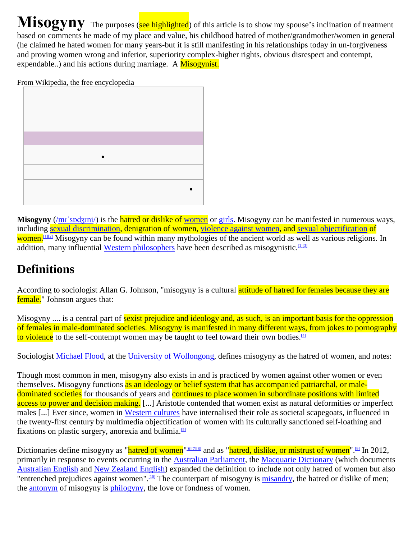**Misogyny** The purposes (see highlighted) of this article is to show my spouse's inclination of treatment based on comments he made of my place and value, his childhood hatred of mother/grandmother/women in general (he claimed he hated women for many years-but it is still manifesting in his relationships today in un-forgiveness and proving women wrong and inferior, superiority complex-higher rights, obvious disrespect and contempt, expendable..) and his actions during marriage. A Misogynist.

From Wikipedia, the free encyclopedia

**Misogyny** [\(/m](http://en.wikipedia.org/wiki/Help:IPA_for_English)i<sup>-</sup>spdʒɪni[/\)](http://en.wikipedia.org/wiki/Help:IPA_for_English) is the hatred or dislike of [women](http://en.wikipedia.org/wiki/Women) or [girls.](http://en.wikipedia.org/wiki/Girl) Misogyny can be manifested in numerous ways, including [sexual discrimination,](http://en.wikipedia.org/wiki/Sexual_discrimination) denigration of women, [violence against women,](http://en.wikipedia.org/wiki/Violence_against_women) and [sexual objectification](http://en.wikipedia.org/wiki/Sexual_objectification) of women.<sup>[\[1\]\[2\]](http://en.wikipedia.org/wiki/Misogyny#cite_note-Code2000-1)</sup> Misogyny can be found within many mythologies of the ancient world as well as various religions. In addition, many influential [Western philosophers](http://en.wikipedia.org/wiki/Western_philosophy) have been described as misogynistic.<sup>[\[1\]\[3\]](http://en.wikipedia.org/wiki/Misogyny#cite_note-Code2000-1)</sup>

## **Definitions**

According to sociologist Allan G. Johnson, "misogyny is a cultural attitude of hatred for females because they are female." Johnson argues that:

Misogyny .... is a central part of sexist prejudice and ideology and, as such, is an important basis for the oppression of females in male-dominated societies. Misogyny is manifested in many different ways, from jokes to pornography to violence to the self-contempt women may be taught to feel toward their own bodies.<sup>[\[4\]](http://en.wikipedia.org/wiki/Misogyny#cite_note-4)</sup>

Sociologist [Michael Flood,](http://en.wikipedia.org/wiki/Michael_Flood) at the [University of Wollongong,](http://en.wikipedia.org/wiki/University_of_Wollongong) defines misogyny as the hatred of women, and notes:

Though most common in men, misogyny also exists in and is practiced by women against other women or even themselves. Misogyny functions as an ideology or belief system that has accompanied patriarchal, or maledominated societies for thousands of years and continues to place women in subordinate positions with limited access to power and decision making. [...] Aristotle contended that women exist as natural deformities or imperfect males [...] Ever since, women in [Western cultures](http://en.wikipedia.org/wiki/Western_culture) have internalised their role as societal scapegoats, influenced in the twenty-first century by multimedia objectification of women with its culturally sanctioned self-loathing and fixations on plastic surgery, anorexia and bulimia.[\[5\]](http://en.wikipedia.org/wiki/Misogyny#cite_note-5)

Dictionaries define misogyny as "<mark>hatred of women</mark>"<sup>[\[6\]\[7\]\[](http://en.wikipedia.org/wiki/Misogyny#cite_note-6)[8\]](http://en.wikipedia.org/wiki/Misogyny#cite_note-8) and as "hatred, dislike, or mistrust of women".<sup>[\[9\]](http://en.wikipedia.org/wiki/Misogyny#cite_note-9)</sup> In 2012,</sup> primarily in response to events occurring in the [Australian Parliament,](http://en.wikipedia.org/wiki/Australian_Parliament) the [Macquarie Dictionary](http://en.wikipedia.org/wiki/Macquarie_Dictionary) (which documents [Australian English](http://en.wikipedia.org/wiki/Australian_English) and [New Zealand English\)](http://en.wikipedia.org/wiki/New_Zealand_English) expanded the definition to include not only hatred of women but also "entrenched prejudices against women".<sup>[\[10\]](http://en.wikipedia.org/wiki/Misogyny#cite_note-Macquarie-10)</sup> The counterpart of misogyny is [misandry,](http://en.wikipedia.org/wiki/Misandry) the hatred or dislike of men; the [antonym](http://en.wikipedia.org/wiki/Antonym) of misogyny is [philogyny,](http://en.wikipedia.org/wiki/Philogyny) the love or fondness of women.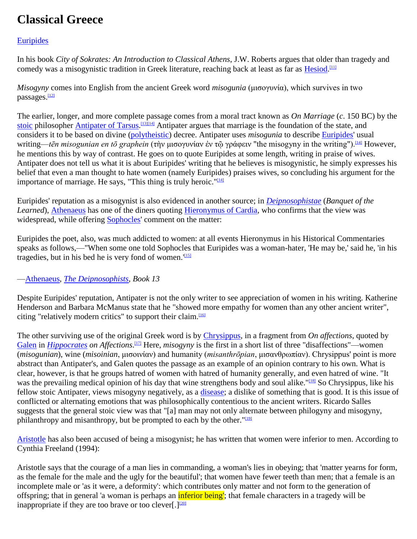# **Classical Greece**

#### [Euripides](http://en.wikipedia.org/wiki/Euripides)

In his book *City of Sokrates: An Introduction to Classical Athens*, J.W. Roberts argues that older than tragedy and comedy was a misogynistic tradition in Greek literature, reaching back at least as far as **Hesiod**.<sup>[\[11\]](http://en.wikipedia.org/wiki/Misogyny#cite_note-11)</sup>

*Misogyny* comes into English from the ancient Greek word *misogunia* (μισογυνία), which survives in two passages.<sup>[\[12\]](http://en.wikipedia.org/wiki/Misogyny#cite_note-Liddell-12)</sup>

The earlier, longer, and more complete passage comes from a moral tract known as *On Marriage* (*c*. 150 BC) by the [stoic](http://en.wikipedia.org/wiki/Stoicism) philosopher **Antipater of Tarsus.**<sup>[\[13\]\[14\]](http://en.wikipedia.org/wiki/Misogyny#cite_note-13)</sup> Antipater argues that marriage is the foundation of the state, and considers it to be based on divine [\(polytheistic\)](http://en.wikipedia.org/wiki/Polytheism) decree. Antipater uses *misogunia* to describe [Euripides'](http://en.wikipedia.org/wiki/Euripides) usual writing—*tēn misogunian en tō graphein* (τὴν μισογυνίαν ἐν τῷ γράφειν "the misogyny in the writing").<sup>[\[14\]](http://en.wikipedia.org/wiki/Misogyny#cite_note-Deming-14)</sup> However, he mentions this by way of contrast. He goes on to quote Euripides at some length, writing in praise of wives. Antipater does not tell us what it is about Euripides' writing that he believes is misogynistic, he simply expresses his belief that even a man thought to hate women (namely Euripides) praises wives, so concluding his argument for the importance of marriage. He says, "This thing is truly heroic." $[14]$ 

Euripides' reputation as a misogynist is also evidenced in another source; in *[Deipnosophistae](http://en.wikipedia.org/wiki/Deipnosophistae)* (*Banquet of the Learned*), [Athenaeus](http://en.wikipedia.org/wiki/Athenaeus) has one of the diners quoting [Hieronymus of Cardia,](http://en.wikipedia.org/wiki/Hieronymus_of_Cardia) who confirms that the view was widespread, while offering [Sophocles'](http://en.wikipedia.org/wiki/Sophocles) comment on the matter:

Euripides the poet, also, was much addicted to women: at all events Hieronymus in his Historical Commentaries speaks as follows,—"When some one told Sophocles that Euripides was a woman-hater, 'He may be,' said he, 'in his tragedies, but in his bed he is very fond of women. $\frac{155}{15}$ 

#### [—Athenaeus,](http://en.wikipedia.org/wiki/Athenaeus) *[The Deipnosophists,](http://en.wikipedia.org/wiki/The_Deipnosophists) Book 13*

Despite Euripides' reputation, Antipater is not the only writer to see appreciation of women in his writing. Katherine Henderson and Barbara McManus state that he "showed more empathy for women than any other ancient writer", citing "relatively modern critics" to support their claim.<sup>[\[16\]](http://en.wikipedia.org/wiki/Misogyny#cite_note-16)</sup>

The other surviving use of the original Greek word is by [Chrysippus,](http://en.wikipedia.org/wiki/Chrysippus) in a fragment from *On affections*, quoted by [Galen](http://en.wikipedia.org/wiki/Galen) in *[Hippocrates](http://en.wikipedia.org/wiki/Hippocrates)* on *Affections*.<sup>[\[17\]](http://en.wikipedia.org/wiki/Misogyny#cite_note-17)</sup> Here, *misogyny* is the first in a short list of three "disaffections"—women (*misogunian*), wine (*misoinian*, μισοινίαν) and humanity (*misanthrōpian*, μισανθρωπίαν). Chrysippus' point is more abstract than Antipater's, and Galen quotes the passage as an example of an opinion contrary to his own. What is clear, however, is that he groups hatred of women with hatred of humanity generally, and even hatred of wine. "It was the prevailing medical opinion of his day that wine strengthens body and soul alike."[\[18\]](http://en.wikipedia.org/wiki/Misogyny#cite_note-Tieleman-18) So Chrysippus, like his fellow stoic Antipater, views misogyny negatively, as a [disease;](http://en.wikipedia.org/wiki/Disease) a dislike of something that is good. It is this issue of conflicted or alternating emotions that was philosophically contentious to the ancient writers. Ricardo Salles suggests that the general stoic view was that "[a] man may not only alternate between philogyny and misogyny, philanthropy and misanthropy, but be prompted to each by the other.  $^{\prime\prime}$  [\[19\]](http://en.wikipedia.org/wiki/Misogyny#cite_note-19)

[Aristotle](http://en.wikipedia.org/wiki/Aristotle) has also been accused of being a misogynist; he has written that women were inferior to men. According to Cynthia Freeland (1994):

Aristotle says that the courage of a man lies in commanding, a woman's lies in obeying; that 'matter yearns for form, as the female for the male and the ugly for the beautiful'; that women have fewer teeth than men; that a female is an incomplete male or 'as it were, a deformity': which contributes only matter and not form to the generation of offspring; that in general 'a woman is perhaps an *inferior being'*; that female characters in a tragedy will be inappropriate if they are too brave or too clever[.]<sup>[\[20\]](http://en.wikipedia.org/wiki/Misogyny#cite_note-20)</sup>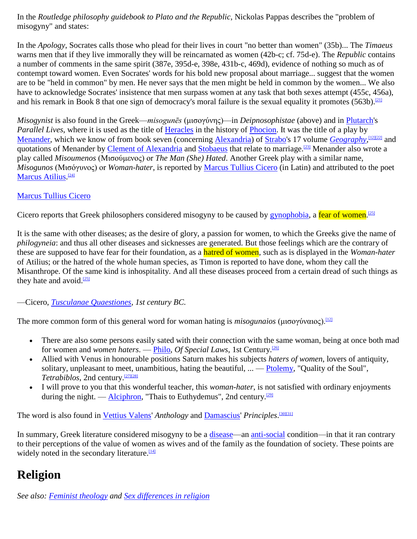In the *Routledge philosophy guidebook to Plato and the Republic*, Nickolas Pappas describes the "problem of misogyny" and states:

In the *Apology*, Socrates calls those who plead for their lives in court "no better than women" (35b)... The *Timaeus* warns men that if they live immorally they will be reincarnated as women (42b-c; cf. 75d-e). The *Republic* contains a number of comments in the same spirit (387e, 395d-e, 398e, 431b-c, 469d), evidence of nothing so much as of contempt toward women. Even Socrates' words for his bold new proposal about marriage... suggest that the women are to be "held in common" by men. He never says that the men might be held in common by the women... We also have to acknowledge Socrates' insistence that men surpass women at any task that both sexes attempt (455c, 456a), and his remark in Book 8 that one sign of democracy's moral failure is the sexual equality it promotes (563b).<sup>[\[21\]](http://en.wikipedia.org/wiki/Misogyny#cite_note-21)</sup>

*Misogynist* is also found in the Greek—*misogunēs* (μισογύνης)—in *Deipnosophistae* (above) and in [Plutarch's](http://en.wikipedia.org/wiki/Plutarch) *Parallel Lives*, where it is used as the title of [Heracles](http://en.wikipedia.org/wiki/Heracles) in the history of [Phocion.](http://en.wikipedia.org/wiki/Phocion) It was the title of a play by [Menander,](http://en.wikipedia.org/wiki/Menander) which we know of from book seven (concerning [Alexandria\)](http://en.wikipedia.org/wiki/Alexandria) of [Strabo's](http://en.wikipedia.org/wiki/Strabo) 17 volume *[Geography](http://en.wikipedia.org/wiki/Geographica)*,<sup>[\[12\]\[22\]](http://en.wikipedia.org/wiki/Misogyny#cite_note-Liddell-12)</sup> and quotations of Menander by [Clement of Alexandria](http://en.wikipedia.org/wiki/Clement_of_Alexandria) and [Stobaeus](http://en.wikipedia.org/wiki/Stobaeus) that relate to marriage.[\[23\]](http://en.wikipedia.org/wiki/Misogyny#cite_note-23) Menander also wrote a play called *Misoumenos* (Μισούμενος) or *The Man (She) Hated*. Another Greek play with a similar name, *Misogunos* (Μισόγυνος) or *Woman-hater*, is reported by [Marcus Tullius Cicero](http://en.wikipedia.org/wiki/Cicero) (in Latin) and attributed to the poet [Marcus Atilius.](http://en.wikipedia.org/wiki/Atilia_(gens)#Members_of_the_gens)<sup>[\[24\]](http://en.wikipedia.org/wiki/Misogyny#cite_note-24)</sup>

#### [Marcus Tullius Cicero](http://en.wikipedia.org/wiki/Cicero)

Cicero reports that Greek philosophers considered misogyny to be caused by [gynophobia,](http://en.wikipedia.org/wiki/Gynophobia) a fear of women.<sup>[\[25\]](http://en.wikipedia.org/wiki/Misogyny#cite_note-Cicero-25)</sup>

It is the same with other diseases; as the desire of glory, a passion for women, to which the Greeks give the name of *philogyneia*: and thus all other diseases and sicknesses are generated. But those feelings which are the contrary of these are supposed to have fear for their foundation, as a hatred of women, such as is displayed in the *Woman-hater* of Atilius; or the hatred of the whole human species, as Timon is reported to have done, whom they call the Misanthrope. Of the same kind is inhospitality. And all these diseases proceed from a certain dread of such things as they hate and avoid.<sup>[\[25\]](http://en.wikipedia.org/wiki/Misogyny#cite_note-Cicero-25)</sup>

—Cicero, *[Tusculanae Quaestiones,](http://en.wikipedia.org/wiki/Tusculanae_Quaestiones) 1st century BC.*

The more common form of this general word for woman hating is *misogunaios* (μισογύναιος).<sup>[\[12\]](http://en.wikipedia.org/wiki/Misogyny#cite_note-Liddell-12)</sup>

- There are also some persons easily sated with their connection with the same woman, being at once both mad for women and *women haters*. — [Philo,](http://en.wikipedia.org/wiki/Philo) *Of Special Laws*, 1st Century.[\[26\]](http://en.wikipedia.org/wiki/Misogyny#cite_note-26)
- Allied with Venus in honourable positions Saturn makes his subjects *haters of women*, lovers of antiquity, solitary, unpleasant to meet, unambitious, hating the beautiful, ... — [Ptolemy,](http://en.wikipedia.org/wiki/Ptolemy) "Quality of the Soul", *Tetrabiblos*, 2nd century.[\[27\]\[28\]](http://en.wikipedia.org/wiki/Misogyny#cite_note-27)
- I will prove to you that this wonderful teacher, this *woman-hater*, is not satisfied with ordinary enjoyments during the night. — [Alciphron,](http://en.wikipedia.org/wiki/Alciphron) "Thais to Euthydemus", 2nd century.<sup>[\[29\]](http://en.wikipedia.org/wiki/Misogyny#cite_note-29)</sup>

The word is also found in [Vettius Valens'](http://en.wikipedia.org/wiki/Vettius_Valens) *Anthology* and [Damascius'](http://en.wikipedia.org/wiki/Damascius) *Principles*. [\[30\]\[31\]](http://en.wikipedia.org/wiki/Misogyny#cite_note-30)

In summary, Greek literature considered misogyny to be a [disease—](http://en.wikipedia.org/wiki/Disease)an [anti-social](http://en.wikipedia.org/wiki/Anti-social_behaviour) condition—in that it ran contrary to their perceptions of the value of women as wives and of the family as the foundation of society. These points are widely noted in the secondary literature.<sup>[\[14\]](http://en.wikipedia.org/wiki/Misogyny#cite_note-Deming-14)</sup>

## **Religion**

*See also: [Feminist theology](http://en.wikipedia.org/wiki/Feminist_theology) and [Sex differences in religion](http://en.wikipedia.org/wiki/Sex_differences_in_religion)*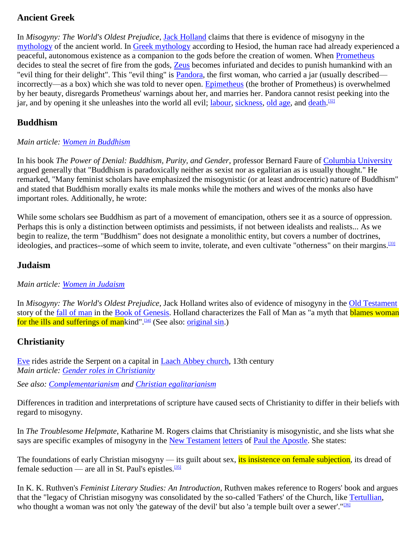### **Ancient Greek**

In *Misogyny: The World's Oldest Prejudice*, [Jack Holland](http://en.wikipedia.org/wiki/Jack_Holland_(writer)) claims that there is evidence of misogyny in the [mythology](http://en.wikipedia.org/wiki/Mythology) of the ancient world. In [Greek mythology](http://en.wikipedia.org/wiki/Greek_mythology) according to Hesiod, the human race had already experienced a peaceful, autonomous existence as a companion to the gods before the creation of women. When [Prometheus](http://en.wikipedia.org/wiki/Prometheus) decides to steal the secret of fire from the gods, [Zeus](http://en.wikipedia.org/wiki/Zeus) becomes infuriated and decides to punish humankind with an "evil thing for their delight". This "evil thing" is [Pandora,](http://en.wikipedia.org/wiki/Pandora) the first woman, who carried a jar (usually described incorrectly—as a box) which she was told to never open. [Epimetheus](http://en.wikipedia.org/wiki/Epimetheus_(mythology)) (the brother of Prometheus) is overwhelmed by her beauty, disregards Prometheus' warnings about her, and marries her. Pandora cannot resist peeking into the jar, and by opening it she unleashes into the world all evil; [labour,](http://en.wikipedia.org/wiki/Childbirth) [sickness,](http://en.wikipedia.org/wiki/Illness) [old age,](http://en.wikipedia.org/wiki/Old_age) and [death.](http://en.wikipedia.org/wiki/Death)<sup>[\[32\]](http://en.wikipedia.org/wiki/Misogyny#cite_note-32)</sup>

### **Buddhism**

#### *Main article: [Women in Buddhism](http://en.wikipedia.org/wiki/Women_in_Buddhism)*

In his book *The Power of Denial: Buddhism, Purity, and Gender*, professor Bernard Faure of [Columbia University](http://en.wikipedia.org/wiki/Columbia_University) argued generally that "Buddhism is paradoxically neither as sexist nor as egalitarian as is usually thought." He remarked, "Many feminist scholars have emphasized the misogynistic (or at least androcentric) nature of Buddhism" and stated that Buddhism morally exalts its male monks while the mothers and wives of the monks also have important roles. Additionally, he wrote:

While some scholars see Buddhism as part of a movement of emancipation, others see it as a source of oppression. Perhaps this is only a distinction between optimists and pessimists, if not between idealists and realists... As we begin to realize, the term "Buddhism" does not designate a monolithic entity, but covers a number of doctrines, ideologies, and practices--some of which seem to invite, tolerate, and even cultivate "otherness" on their margins.<sup>[\[33\]](http://en.wikipedia.org/wiki/Misogyny#cite_note-bernard-33)</sup>

#### **Judaism**

#### *Main article: [Women in Judaism](http://en.wikipedia.org/wiki/Women_in_Judaism)*

In *Misogyny: The World's Oldest Prejudice*, Jack Holland writes also of evidence of misogyny in the [Old Testament](http://en.wikipedia.org/wiki/Old_Testament) story of the *fall of man* in the **Book of Genesis**. Holland characterizes the Fall of Man as "a myth that **blames woman** for the ills and sufferings of mankind".<sup>[\[34\]](http://en.wikipedia.org/wiki/Misogyny#cite_note-34)</sup> (See also: [original sin.](http://en.wikipedia.org/wiki/Original_sin))

### **Christianity**

[Eve](http://en.wikipedia.org/wiki/Eve) rides astride the Serpent on a capital in Laach [Abbey church,](http://en.wikipedia.org/wiki/Maria_Laach_Abbey) 13th century *Main article: [Gender roles in Christianity](http://en.wikipedia.org/wiki/Gender_roles_in_Christianity)*

*See also: [Complementarianism](http://en.wikipedia.org/wiki/Complementarianism) and [Christian egalitarianism](http://en.wikipedia.org/wiki/Christian_egalitarianism)*

Differences in tradition and interpretations of scripture have caused sects of Christianity to differ in their beliefs with regard to misogyny.

In *The Troublesome Helpmate*, Katharine M. Rogers claims that Christianity is misogynistic, and she lists what she says are specific examples of misogyny in the [New Testament](http://en.wikipedia.org/wiki/New_Testament) [letters](http://en.wikipedia.org/wiki/Pauline_epistles) of [Paul the Apostle.](http://en.wikipedia.org/wiki/Paul_the_Apostle) She states:

The foundations of early Christian misogyny — its guilt about sex, its insistence on female subjection, its dread of female seduction — are all in St. Paul's epistles.<sup>[\[35\]](http://en.wikipedia.org/wiki/Misogyny#cite_note-35)</sup>

In K. K. Ruthven's *Feminist Literary Studies: An Introduction*, Ruthven makes reference to Rogers' book and argues that the "legacy of Christian misogyny was consolidated by the so-called 'Fathers' of the Church, like [Tertullian,](http://en.wikipedia.org/wiki/Tertullian) who thought a woman was not only 'the gateway of the devil' but also 'a temple built over a sewer'." $\frac{360}{120}$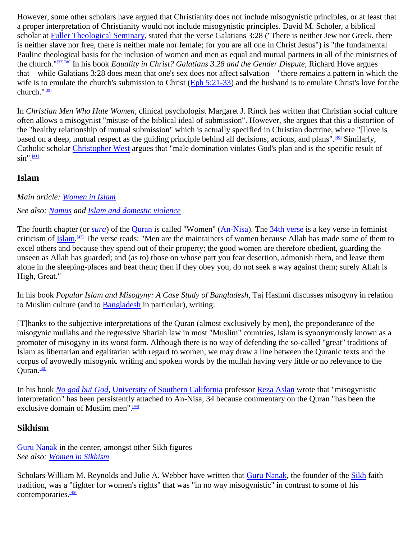However, some other scholars have argued that Christianity does not include misogynistic principles, or at least that a proper interpretation of Christianity would not include misogynistic principles. David M. Scholer, a biblical scholar at [Fuller Theological Seminary,](http://en.wikipedia.org/wiki/Fuller_Theological_Seminary) stated that the verse Galatians 3:28 ("There is neither Jew nor Greek, there is neither slave nor free, there is neither male nor female; for you are all one in Christ Jesus") is "the fundamental Pauline theological basis for the inclusion of women and men as equal and mutual partners in all of the ministries of the church."[\[37\]\[38\]](http://en.wikipedia.org/wiki/Misogyny#cite_note-37) In his book *Equality in Christ? Galatians 3.28 and the Gender Dispute*, Richard Hove argues that—while Galatians 3:28 does mean that one's sex does not affect salvation—"there remains a pattern in which the wife is to emulate the church's submission to Christ [\(Eph 5:21-33\)](http://tools.wmflabs.org/bibleversefinder/?book=Eph&verse=5:21-33&src=KJV) and the husband is to emulate Christ's love for the church."[\[39\]](http://en.wikipedia.org/wiki/Misogyny#cite_note-39)

In *Christian Men Who Hate Women*, clinical psychologist Margaret J. Rinck has written that Christian social culture often allows a misogynist "misuse of the biblical ideal of submission". However, she argues that this a distortion of the "healthy relationship of mutual submission" which is actually specified in Christian doctrine, where "[l]ove is based on a deep, mutual respect as the guiding principle behind all decisions, actions, and plans".<sup>[\[40\]](http://en.wikipedia.org/wiki/Misogyny#cite_note-40)</sup> Similarly, Catholic scholar [Christopher West](http://en.wikipedia.org/wiki/Christopher_West) argues that "male domination violates God's plan and is the specific result of  $sin$ ". $\frac{[41]}{[41]}$  $\frac{[41]}{[41]}$  $\frac{[41]}{[41]}$ 

#### **Islam**

#### *Main article: [Women in Islam](http://en.wikipedia.org/wiki/Women_in_Islam)*

#### *See also: [Namus](http://en.wikipedia.org/wiki/Namus) and [Islam and domestic violence](http://en.wikipedia.org/wiki/Islam_and_domestic_violence)*

The fourth chapter (or *[sura](http://en.wikipedia.org/wiki/Sura)*) of the [Quran](http://en.wikipedia.org/wiki/Quran) is called "Women" [\(An-Nisa\)](http://en.wikipedia.org/wiki/An-Nisa). The [34th verse](http://en.wikipedia.org/wiki/An-Nisa,_34) is a key verse in feminist criticism of <u>Islam.<sup>[\[42\]](http://en.wikipedia.org/wiki/Misogyny#cite_note-42)</sup></u> The verse reads: "Men are the maintainers of women because Allah has made some of them to excel others and because they spend out of their property; the good women are therefore obedient, guarding the unseen as Allah has guarded; and (as to) those on whose part you fear desertion, admonish them, and leave them alone in the sleeping-places and beat them; then if they obey you, do not seek a way against them; surely Allah is High, Great."

In his book *Popular Islam and Misogyny: A Case Study of Bangladesh*, Taj Hashmi discusses misogyny in relation to Muslim culture (and to [Bangladesh](http://en.wikipedia.org/wiki/Bangladesh) in particular), writing:

[T]hanks to the subjective interpretations of the Quran (almost exclusively by men), the preponderance of the misogynic mullahs and the regressive Shariah law in most "Muslim" countries, Islam is synonymously known as a promoter of misogyny in its worst form. Although there is no way of defending the so-called "great" traditions of Islam as libertarian and egalitarian with regard to women, we may draw a line between the Quranic texts and the corpus of avowedly misogynic writing and spoken words by the mullah having very little or no relevance to the Quran. $[43]$ 

In his book *[No god but God](http://en.wikipedia.org/wiki/No_god_but_God)*, [University of Southern California](http://en.wikipedia.org/wiki/University_of_Southern_California) professor [Reza Aslan](http://en.wikipedia.org/wiki/Reza_Aslan) wrote that "misogynistic interpretation" has been persistently attached to An-Nisa, 34 because commentary on the Quran "has been the exclusive domain of Muslim men".<sup>[\[44\]](http://en.wikipedia.org/wiki/Misogyny#cite_note-issue-44)</sup>

#### **Sikhism**

[Guru Nanak](http://en.wikipedia.org/wiki/Guru_Nanak) in the center, amongst other Sikh figures *See also: [Women in Sikhism](http://en.wikipedia.org/wiki/Women_in_Sikhism)*

Scholars William M. Reynolds and Julie A. Webber have written that [Guru Nanak,](http://en.wikipedia.org/wiki/Guru_Nanak) the founder of the [Sikh](http://en.wikipedia.org/wiki/Sikh) faith tradition, was a "fighter for women's rights" that was "in no way misogynistic" in contrast to some of his contemporaries.<sup>[\[45\]](http://en.wikipedia.org/wiki/Misogyny#cite_note-45)</sup>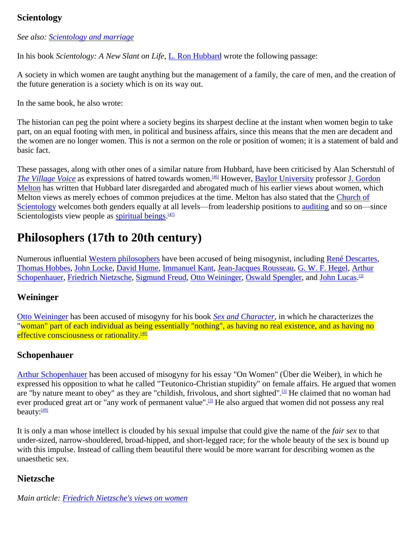### **Scientology**

*See also: [Scientology and marriage](http://en.wikipedia.org/wiki/Scientology_and_marriage)*

In his book *Scientology: A New Slant on Life*, [L. Ron Hubbard](http://en.wikipedia.org/wiki/L._Ron_Hubbard) wrote the following passage:

A society in which women are taught anything but the management of a family, the care of men, and the creation of the future generation is a society which is on its way out.

In the same book, he also wrote:

The historian can peg the point where a society begins its sharpest decline at the instant when women begin to take part, on an equal footing with men, in political and business affairs, since this means that the men are decadent and the women are no longer women. This is not a sermon on the role or position of women; it is a statement of bald and basic fact.

These passages, along with other ones of a similar nature from Hubbard, have been criticised by Alan Scherstuhl of *[The Village Voice](http://en.wikipedia.org/wiki/The_Village_Voice)* as expressions of hatred towards women.<sup>[\[46\]](http://en.wikipedia.org/wiki/Misogyny#cite_note-46)</sup> However, [Baylor University](http://en.wikipedia.org/wiki/Baylor_University) professor J. Gordon [Melton](http://en.wikipedia.org/wiki/J._Gordon_Melton) has written that Hubbard later disregarded and abrogated much of his earlier views about women, which Melton views as merely echoes of common prejudices at the time. Melton has also stated that the [Church of](http://en.wikipedia.org/wiki/Church_of_Scientology)  [Scientology](http://en.wikipedia.org/wiki/Church_of_Scientology) welcomes both genders equally at all levels—from leadership positions to [auditing](http://en.wikipedia.org/wiki/Auditing_(Scientology)) and so on—since Scientologists view people as **spiritual beings**.<sup>[\[47\]](http://en.wikipedia.org/wiki/Misogyny#cite_note-47)</sup>

## **Philosophers (17th to 20th century)**

Numerous influential [Western philosophers](http://en.wikipedia.org/wiki/Western_philosophy) have been accused of being misogynist, including [René Descartes,](http://en.wikipedia.org/wiki/Ren%C3%A9_Descartes) [Thomas Hobbes,](http://en.wikipedia.org/wiki/Thomas_Hobbes) [John Locke,](http://en.wikipedia.org/wiki/John_Locke) [David Hume,](http://en.wikipedia.org/wiki/David_Hume) [Immanuel Kant,](http://en.wikipedia.org/wiki/Immanuel_Kant) [Jean-Jacques Rousseau,](http://en.wikipedia.org/wiki/Jean-Jacques_Rousseau) [G. W. F. Hegel,](http://en.wikipedia.org/wiki/Georg_Wilhelm_Friedrich_Hegel) [Arthur](http://en.wikipedia.org/wiki/Arthur_Schopenhauer)  [Schopenhauer,](http://en.wikipedia.org/wiki/Arthur_Schopenhauer) [Friedrich Nietzsche,](http://en.wikipedia.org/wiki/Friedrich_Nietzsche) [Sigmund Freud,](http://en.wikipedia.org/wiki/Sigmund_Freud) [Otto Weininger,](http://en.wikipedia.org/wiki/Otto_Weininger) [Oswald Spengler,](http://en.wikipedia.org/wiki/Oswald_Spengler) and [John Lucas.](http://en.wikipedia.org/wiki/John_Lucas_(philosopher))<sup>[\[3\]](http://en.wikipedia.org/wiki/Misogyny#cite_note-Clack1999-3)</sup>

### **Weininger**

[Otto Weininger](http://en.wikipedia.org/wiki/Otto_Weininger) has been accused of misogyny for his book *[Sex and Character](http://en.wikipedia.org/wiki/Sex_and_Character)*, in which he characterizes the "woman" part of each individual as being essentially "nothing", as having no real existence, and as having no effective consciousness or rationality.<sup>[\[48\]](http://en.wikipedia.org/wiki/Misogyny#cite_note-48)</sup>

### **Schopenhauer**

[Arthur Schopenhauer](http://en.wikipedia.org/wiki/Arthur_Schopenhauer) has been accused of misogyny for his essay "On Women" (Über die Weiber), in which he expressed his opposition to what he called "Teutonico-Christian stupidity" on female affairs. He argued that women are "by nature meant to obey" as they are "childish, frivolous, and short sighted".<sup>[\[3\]](http://en.wikipedia.org/wiki/Misogyny#cite_note-Clack1999-3)</sup> He claimed that no woman had ever produced great art or "any work of permanent value".<sup>[\[3\]](http://en.wikipedia.org/wiki/Misogyny#cite_note-Clack1999-3)</sup> He also argued that women did not possess any real beauty:<sup>[\[49\]](http://en.wikipedia.org/wiki/Misogyny#cite_note-49)</sup>

It is only a man whose intellect is clouded by his sexual impulse that could give the name of the *fair sex* to that under-sized, narrow-shouldered, broad-hipped, and short-legged race; for the whole beauty of the sex is bound up with this impulse. Instead of calling them beautiful there would be more warrant for describing women as the unaesthetic sex.

### **Nietzsche**

*Main article: [Friedrich Nietzsche's views on women](http://en.wikipedia.org/wiki/Friedrich_Nietzsche%27s_views_on_women)*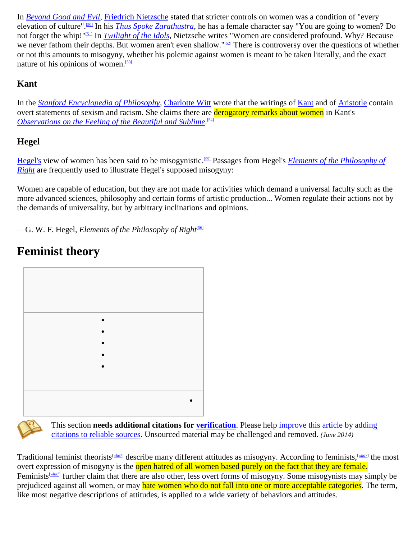In *[Beyond Good and Evil](http://en.wikipedia.org/wiki/Beyond_Good_and_Evil)*, [Friedrich Nietzsche](http://en.wikipedia.org/wiki/Friedrich_Nietzsche) stated that stricter controls on women was a condition of "every elevation of culture".[\[50\]](http://en.wikipedia.org/wiki/Misogyny#cite_note-50) In his *[Thus Spoke Zarathustra](http://en.wikipedia.org/wiki/Thus_Spoke_Zarathustra)*, he has a female character say "You are going to women? Do not forget the whip!"[\[51\]](http://en.wikipedia.org/wiki/Misogyny#cite_note-51) In *[Twilight of the Idols](http://en.wikipedia.org/wiki/Twilight_of_the_Idols)*, Nietzsche writes "Women are considered profound. Why? Because we never fathom their depths. But women aren't even shallow."<sup>[\[52\]](http://en.wikipedia.org/wiki/Misogyny#cite_note-52)</sup> There is controversy over the questions of whether or not this amounts to misogyny, whether his polemic against women is meant to be taken literally, and the exact nature of his opinions of women.<sup>[\[53\]](http://en.wikipedia.org/wiki/Misogyny#cite_note-Holub-53)</sup>

## **Kant**

In the *[Stanford Encyclopedia of Philosophy](http://en.wikipedia.org/wiki/Stanford_Encyclopedia_of_Philosophy)*, [Charlotte Witt](http://en.wikipedia.org/wiki/Charlotte_Witt) wrote that the writings of [Kant](http://en.wikipedia.org/wiki/Immanuel_Kant) and of [Aristotle](http://en.wikipedia.org/wiki/Aristotle) contain overt statements of sexism and racism. She claims there are derogatory remarks about women in Kant's *[Observations on the Feeling of the Beautiful and Sublime](http://en.wikipedia.org/wiki/Observations_on_the_Feeling_of_the_Beautiful_and_Sublime)*. [\[54\]](http://en.wikipedia.org/wiki/Misogyny#cite_note-54)

## **Hegel**

[Hegel's](http://en.wikipedia.org/wiki/Georg_Wilhelm_Friedrich_Hegel) view of women has been said to be misogynistic.[\[55\]](http://en.wikipedia.org/wiki/Misogyny#cite_note-55) Passages from Hegel's *[Elements of the Philosophy of](http://en.wikipedia.org/wiki/Elements_of_the_Philosophy_of_Right)  [Right](http://en.wikipedia.org/wiki/Elements_of_the_Philosophy_of_Right)* are frequently used to illustrate Hegel's supposed misogyny:

Women are capable of education, but they are not made for activities which demand a universal faculty such as the more advanced sciences, philosophy and certain forms of artistic production... Women regulate their actions not by the demands of universality, but by arbitrary inclinations and opinions.

 $-G.$  W. F. Hegel, *Elements of the Philosophy of Right*<sup>[\[56\]](http://en.wikipedia.org/wiki/Misogyny#cite_note-56)</sup>

# **Feminist theory**





This section **needs additional citations for [verification](http://en.wikipedia.org/wiki/Wikipedia:Verifiability)**. Please help [improve this article](http://en.wikipedia.org/w/index.php?title=Misogyny&action=edit) by [adding](http://en.wikipedia.org/wiki/Help:Introduction_to_referencing/1)  [citations to reliable sources.](http://en.wikipedia.org/wiki/Help:Introduction_to_referencing/1) Unsourced material may be challenged and removed. *(June 2014)*

Traditional feminist theorists[*[who?](http://en.wikipedia.org/wiki/Wikipedia:Manual_of_Style/Words_to_watch#Unsupported_attributions)*] describe many different attitudes as misogyny. According to feminists,[*[who?](http://en.wikipedia.org/wiki/Wikipedia:Manual_of_Style/Words_to_watch#Unsupported_attributions)*] the most overt expression of misogyny is the open hatred of all women based purely on the fact that they are female. Feminists<sup>[[who?](http://en.wikipedia.org/wiki/Wikipedia:Manual_of_Style/Words_to_watch#Unsupported_attributions)]</sup> further claim that there are also other, less overt forms of misogyny. Some misogynists may simply be prejudiced against all women, or may hate women who do not fall into one or more acceptable categories. The term, like most negative descriptions of attitudes, is applied to a wide variety of behaviors and attitudes.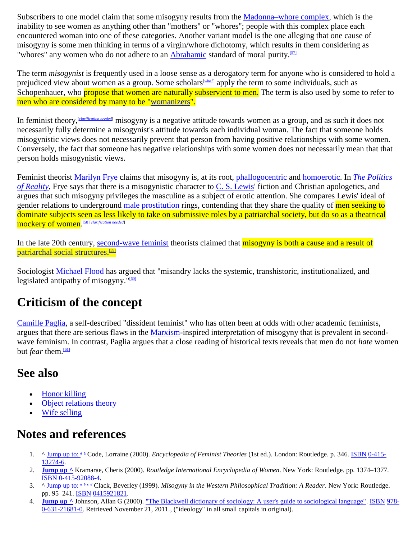Subscribers to one model claim that some misogyny results from the [Madonna–whore complex,](http://en.wikipedia.org/wiki/Madonna%E2%80%93whore_complex) which is the inability to see women as anything other than "mothers" or "whores"; people with this complex place each encountered woman into one of these categories. Another variant model is the one alleging that one cause of misogyny is some men thinking in terms of a virgin/whore dichotomy, which results in them considering as "whores" any women who do not adhere to an [Abrahamic](http://en.wikipedia.org/wiki/Abrahamic_religions) standard of moral purity.<sup>[\[57\]](http://en.wikipedia.org/wiki/Misogyny#cite_note-57)</sup>

The term *misogynist* is frequently used in a loose sense as a derogatory term for anyone who is considered to hold a prejudiced view about women as a group. Some scholars<sup>[*[who?](http://en.wikipedia.org/wiki/Wikipedia:Manual_of_Style/Words_to_watch#Unsupported_attributions)*]</sup> apply the term to some individuals, such as Schopenhauer, who propose that women are naturally subservient to men. The term is also used by some to refer to men who are considered by many to be ["womanizers"](http://en.wiktionary.org/wiki/womanizer).

In feminist theory,[*[clarification needed](http://en.wikipedia.org/wiki/Wikipedia:Please_clarify)*] misogyny is a negative attitude towards women as a group, and as such it does not necessarily fully determine a misogynist's attitude towards each individual woman. The fact that someone holds misogynistic views does not necessarily prevent that person from having positive relationships with some women. Conversely, the fact that someone has negative relationships with some women does not necessarily mean that that person holds misogynistic views.

Feminist theorist [Marilyn Frye](http://en.wikipedia.org/wiki/Marilyn_Frye) claims that misogyny is, at its root, [phallogocentric](http://en.wikipedia.org/wiki/Phallogocentrism) and [homoerotic.](http://en.wikipedia.org/wiki/Homoeroticism) In *[The Politics](http://en.wikipedia.org/wiki/The_Politics_of_Reality)  [of Reality](http://en.wikipedia.org/wiki/The_Politics_of_Reality)*, Frye says that there is a misogynistic character to [C. S. Lewis'](http://en.wikipedia.org/wiki/C._S._Lewis) fiction and Christian apologetics, and argues that such misogyny privileges the masculine as a subject of erotic attention. She compares Lewis' ideal of gender relations to underground [male prostitution](http://en.wikipedia.org/wiki/Male_prostitution) rings, contending that they share the quality of men seeking to dominate subjects seen as less likely to take on submissive roles by a patriarchal society, but do so as a theatrical mockery of women. [\[58\]\[](http://en.wikipedia.org/wiki/Misogyny#cite_note-58)*[clarification needed](http://en.wikipedia.org/wiki/Wikipedia:Please_clarify)*]

In the late 20th century, [second-wave feminist](http://en.wikipedia.org/wiki/Second-wave_feminism) theorists claimed that misogyny is both a cause and a result of [patriarchal](http://en.wikipedia.org/wiki/Patriarchy) [social structures.](http://en.wikipedia.org/wiki/Social_structure) [\[59\]](http://en.wikipedia.org/wiki/Misogyny#cite_note-59)

Sociologist [Michael Flood](http://en.wikipedia.org/wiki/Michael_Flood) has argued that "misandry lacks the systemic, transhistoric, institutionalized, and legislated antipathy of misogyny."<sup>[\[60\]](http://en.wikipedia.org/wiki/Misogyny#cite_note-60)</sup>

## **Criticism of the concept**

[Camille Paglia,](http://en.wikipedia.org/wiki/Camille_Paglia) a self-described "dissident feminist" who has often been at odds with other academic feminists, argues that there are serious flaws in the [Marxism-](http://en.wikipedia.org/wiki/Marxism)inspired interpretation of misogyny that is prevalent in secondwave feminism. In contrast, Paglia argues that a close reading of historical texts reveals that men do not *hate* women but *fear* them.<sup>[\[61\]](http://en.wikipedia.org/wiki/Misogyny#cite_note-61)</sup>

## **See also**

- [Honor killing](http://en.wikipedia.org/wiki/Honor_killing)
- [Object relations theory](http://en.wikipedia.org/wiki/Object_relations_theory)
- [Wife selling](http://en.wikipedia.org/wiki/Wife_selling)

## **Notes and references**

- 1. ^ [Jump](http://en.wikipedia.org/wiki/Misogyny#cite_ref-Code2000_1-0) up to: *<sup>a</sup> [b](http://en.wikipedia.org/wiki/Misogyny#cite_ref-Code2000_1-1)* Code, Lorraine (2000). *Encyclopedia of Feminist Theories* (1st ed.). London: Routledge. p. 346. [ISBN](http://en.wikipedia.org/wiki/International_Standard_Book_Number) [0-415-](http://en.wikipedia.org/wiki/Special:BookSources/0-415-13274-6) [13274-6.](http://en.wikipedia.org/wiki/Special:BookSources/0-415-13274-6)
- 2. **[Jump](http://en.wikipedia.org/wiki/Misogyny#cite_ref-Kramarae2000_2-0) up ^** Kramarae, Cheris (2000). *Routledge International Encyclopedia of Women*. New York: Routledge. pp. 1374–1377. [ISBN](http://en.wikipedia.org/wiki/International_Standard_Book_Number) [0-415-92088-4.](http://en.wikipedia.org/wiki/Special:BookSources/0-415-92088-4)
- 3. ^ [Jump](http://en.wikipedia.org/wiki/Misogyny#cite_ref-Clack1999_3-0) up to: *<sup>a</sup> [b](http://en.wikipedia.org/wiki/Misogyny#cite_ref-Clack1999_3-1) [c](http://en.wikipedia.org/wiki/Misogyny#cite_ref-Clack1999_3-2) [d](http://en.wikipedia.org/wiki/Misogyny#cite_ref-Clack1999_3-3)* Clack, Beverley (1999). *Misogyny in the Western Philosophical Tradition: A Reader*. New York: Routledge. pp. 95–241. [ISBN](http://en.wikipedia.org/wiki/International_Standard_Book_Number) [0415921821.](http://en.wikipedia.org/wiki/Special:BookSources/0415921821)
- 4. **[Jump](http://en.wikipedia.org/wiki/Misogyny#cite_ref-4) up ^** Johnson, Allan G (2000). "The Blackwell [dictionary of sociology: A user's guide to sociological language".](http://books.google.com/?id=V1kiW7x6J1MC&pg=PA197&dq=allan+johnson+misogyny#v=onepage&q&f=false) [ISBN](http://en.wikipedia.org/wiki/International_Standard_Book_Number) [978-](http://en.wikipedia.org/wiki/Special:BookSources/978-0-631-21681-0) [0-631-21681-0.](http://en.wikipedia.org/wiki/Special:BookSources/978-0-631-21681-0) Retrieved November 21, 2011., ("ideology" in all small capitals in original).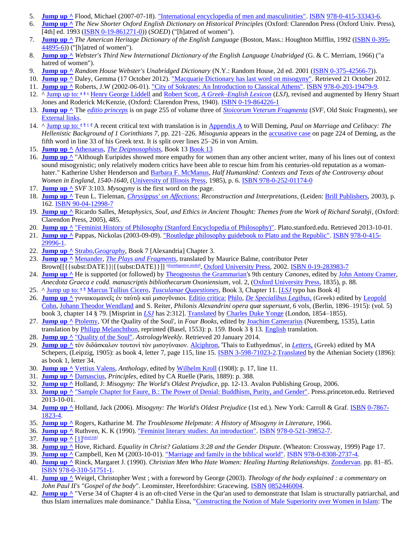- 5. **[Jump](http://en.wikipedia.org/wiki/Misogyny#cite_ref-5) up ^** Flood, Michael (2007-07-18). ["International encyclopedia of men and masculinities".](http://books.google.com/?id=EUON2SYps-QC&pg=PA444&dq=michael+flood+misogyny#v=onepage&q=michael%20flood%20misogyny&f=false) [ISBN](http://en.wikipedia.org/wiki/International_Standard_Book_Number) [978-0-415-33343-6.](http://en.wikipedia.org/wiki/Special:BookSources/978-0-415-33343-6)
- 6. **[Jump](http://en.wikipedia.org/wiki/Misogyny#cite_ref-6) up ^** *The New Shorter Oxford English Dictionary on Historical Principles* (Oxford: Clarendon Press (Oxford Univ. Press), [4th] ed. 1993 [\(ISBN 0-19-861271-0\)](http://en.wikipedia.org/wiki/Special:BookSources/0198612710)) (*SOED*) ("[h]atred of women").
- 7. **[Jump](http://en.wikipedia.org/wiki/Misogyny#cite_ref-7) up ^** *The American Heritage Dictionary of the English Language* (Boston, Mass.: Houghton Mifflin, 1992 [\(ISBN 0-395-](http://en.wikipedia.org/wiki/Special:BookSources/0395448956) [44895-6\)](http://en.wikipedia.org/wiki/Special:BookSources/0395448956)) ("[h]atred of women").
- 8. **[Jump](http://en.wikipedia.org/wiki/Misogyny#cite_ref-8) up ^** *Webster's Third New International Dictionary of the English Language Unabridged* (G. & C. Merriam, 1966) ("a hatred of women").
- 9. **[Jump](http://en.wikipedia.org/wiki/Misogyny#cite_ref-9) up ^** *Random House Webster's Unabridged Dictionary* (N.Y.: Random House, 2d ed. 2001 [\(ISBN 0-375-42566-7\)](http://en.wikipedia.org/wiki/Special:BookSources/0375425667)).
- 10. **[Jump](http://en.wikipedia.org/wiki/Misogyny#cite_ref-Macquarie_10-0) up ^** Daley, Gemma (17 October 2012). ["Macquarie Dictionary has last word on misogyny".](http://www.afr.com/p/national/macquarie_dictionary_has_last_word_NzrQFdWcPJG6G8qLRRiZtK) Retrieved 21 October 2012.
- 11. **[Jump](http://en.wikipedia.org/wiki/Misogyny#cite_ref-11) up ^** Roberts, J.W (2002-06-01). ["City of Sokrates: An Introduction to Classical Athens".](http://books.google.com/?id=73kTsV4FdrQC&pg=PA22&dq=Sokrates+misogyny+misogynist#v=onepage&q&f=false) [ISBN](http://en.wikipedia.org/wiki/International_Standard_Book_Number) [978-0-203-19479-9.](http://en.wikipedia.org/wiki/Special:BookSources/978-0-203-19479-9)
- 12. ^ [Jump](http://en.wikipedia.org/wiki/Misogyny#cite_ref-Liddell_12-0) up to: *<sup>a</sup> [b](http://en.wikipedia.org/wiki/Misogyny#cite_ref-Liddell_12-1) [c](http://en.wikipedia.org/wiki/Misogyny#cite_ref-Liddell_12-2)* [Henry George Liddell](http://en.wikipedia.org/wiki/Henry_George_Liddell) an[d Robert Scott,](http://en.wikipedia.org/wiki/Robert_Scott_(philologist)) *[A Greek–English Lexicon](http://en.wikipedia.org/wiki/A_Greek%E2%80%93English_Lexicon)* (*LSJ*), revised and augmented by Henry Stuart Jones and Roderick McKenzie, (Oxford: Clarendon Press, 1940)[. ISBN 0-19-864226-1](http://en.wikipedia.org/wiki/Special:BookSources/0198642261)
- 13. **[Jump](http://en.wikipedia.org/wiki/Misogyny#cite_ref-13) up ^** The *[editio princeps](http://en.wikipedia.org/wiki/Editio_princeps)* is on page 255 of volume three of *[Stoicorum Veterum Fragmenta](http://en.wikipedia.org/wiki/Stoicorum_Veterum_Fragmenta)* (*SVF*, Old Stoic Fragments), see [External links.](http://en.wikipedia.org/wiki/Misogyny#External_links)
- 14. ^ [Jump](http://en.wikipedia.org/wiki/Misogyny#cite_ref-Deming_14-0) up to:  $a \underline{b} \underline{c} \underline{d}$  $a \underline{b} \underline{c} \underline{d}$  $a \underline{b} \underline{c} \underline{d}$  $a \underline{b} \underline{c} \underline{d}$  $a \underline{b} \underline{c} \underline{d}$  $a \underline{b} \underline{c} \underline{d}$  $a \underline{b} \underline{c} \underline{d}$  A recent critical text with translation is i[n Appendix A](http://books.google.com.au/books?id=u_6a-sMDv6AC&pg=PA221&lpg=PA221&dq=appendix+a+antipater+of+tarsus&source=web&ots=JlCnsyRBGf&sig=7zsKzMVEBnV3tHag9z7E4cWCeLs&hl=en) to Will Deming, *Paul on Marriage and Celibacy: The Hellenistic Background of 1 Corinthians 7*, pp. 221–226. *Misogunia* appears in the [accusative case](http://en.wikipedia.org/wiki/Accusative_case) on page 224 of Deming, as the fifth word in line 33 of his Greek text. It is split over lines 25–26 in von Arnim.
- 15. **[Jump](http://en.wikipedia.org/wiki/Misogyny#cite_ref-15) up ^** [Athenaeus,](http://en.wikipedia.org/wiki/Athenaeus) *[The Deipnosophists](http://en.wikipedia.org/wiki/The_Deipnosophists)*, Book 13 [Book 13](http://replay.waybackmachine.org/20081202152211/http:/digicoll.library.wisc.edu/cgi-bin/Literature/Literature-idx?type=turn&entity=Literature.AthV3.p0080&q1=hieronymus&pview=hide)
- 16. **[Jump](http://en.wikipedia.org/wiki/Misogyny#cite_ref-16) up**  $\wedge$  "Although Euripides showed more empathy for women than any other ancient writer, many of his lines out of context sound misogynistic; only relatively modern critics have been able to rescue him from his centuries-old reputation as a woman-hater." Katherine Usher Henderson and [Barbara F. McManus,](http://www.cnr.edu/home/bmcmanus/) *Half Humankind: Contexts and Texts of the Controversy about Women in England, 1540-1640*, [\(University of Illinois Press,](http://en.wikipedia.org/wiki/University_of_Illinois_Press) 1985), p. 6. [ISBN 978-0-252-01174-0](http://en.wikipedia.org/wiki/Special:BookSources/9780252011740)
- 17. **[Jump](http://en.wikipedia.org/wiki/Misogyny#cite_ref-17) up ^** *SVF* 3:103. *Mysogyny* is the first word on the page.
- 18. **[Jump](http://en.wikipedia.org/wiki/Misogyny#cite_ref-Tieleman_18-0) up ^** Teun L. Tieleman, *[Chrysippus' on Affections:](http://books.google.com.au/books?id=BBiw96gj8gkC&printsec=frontcover&dq=chrysippus+on+affections&sig=6f6Y84rR_VZzorWxiGfFMYViuvM) Reconstruction and Interpretations*, (Leiden: [Brill Publishers,](http://en.wikipedia.org/wiki/Brill_Publishers) 2003), p. 162. [ISBN 90-04-12998-7](http://en.wikipedia.org/wiki/Special:BookSources/9004129987)
- 19. **[Jump](http://en.wikipedia.org/wiki/Misogyny#cite_ref-19) up ^** Ricardo Salles, *Metaphysics, Soul, and Ethics in Ancient Thought: Themes from the Work of Richard Sorabji*, (Oxford: Clarendon Press, 2005), 485.
- 20. **[Jump](http://en.wikipedia.org/wiki/Misogyny#cite_ref-20) up ^** ["Feminist History of Philosophy \(Stanford Encyclopedia of Philosophy\)".](http://plato.stanford.edu/entries/feminism-femhist/#Mis) Plato.stanford.edu. Retrieved 2013-10-01.
- 21. **[Jump](http://en.wikipedia.org/wiki/Misogyny#cite_ref-21) up ^** Pappas, Nickolas (2003-09-09). ["Routledge philosophy guidebook to Plato and the Republic".](http://books.google.com/?id=VujWajIWxkUC&pg=PA109&dq=Socrates+misogyny+misogynist#v=onepage&q&f=false) [ISBN](http://en.wikipedia.org/wiki/International_Standard_Book_Number) [978-0-415-](http://en.wikipedia.org/wiki/Special:BookSources/978-0-415-29996-1) [29996-1.](http://en.wikipedia.org/wiki/Special:BookSources/978-0-415-29996-1)
- 22. **[Jump](http://en.wikipedia.org/wiki/Misogyny#cite_ref-22) up ^** [Strabo,](http://en.wikipedia.org/wiki/Strabo)*[Geography](http://en.wikipedia.org/wiki/Geographica_(Strabo))*, Book 7 [Alexandria] Chapter 3.
- 23. **[Jump](http://en.wikipedia.org/wiki/Misogyny#cite_ref-23) up ^** [Menander,](http://en.wikipedia.org/wiki/Menander) *[The Plays and Fragments](http://books.google.com.au/books?id=JC11wYBkrhkC&pg=PA268&dq=The+Misogynist+(Misogynes)&sig=y98In1TUseOWVGHrcOOMQ0Vx1dU)*, translated by Maurice Balme, contributor Peter Brown[[{{subst:DATE}}|{{subst:DATE}}]] [*[disambiguation needed](http://toolserver.org/~dispenser/cgi-bin/dab_solver.py?page=Misogyny&editintro=Template:Disambiguation_needed/editintro&client=Template:Dn)*] [, Oxford University Press,](http://en.wikipedia.org/wiki/Oxford_University_Press) 2002[. ISBN 0-19-283983-7](http://en.wikipedia.org/wiki/Special:BookSources/0192839837)
- 24. **[Jump](http://en.wikipedia.org/wiki/Misogyny#cite_ref-24) up ^** He is supported (or followed) by [Theognostus the Grammarian'](http://en.wikipedia.org/wiki/Theognostus_the_Grammarian)s 9th century *Canones*, edited b[y John Antony Cramer,](http://en.wikipedia.org/wiki/John_Antony_Cramer) *Anecdota Graeca e codd. manuscriptis bibliothecarum Oxoniensium*, vol. 2, [\(Oxford University Press,](http://en.wikipedia.org/wiki/Oxford_University_Press) 1835), p. 88.
- 25. ^ [Jump](http://en.wikipedia.org/wiki/Misogyny#cite_ref-Cicero_25-0) up to: *<sup>a</sup> [b](http://en.wikipedia.org/wiki/Misogyny#cite_ref-Cicero_25-1)* [Marcus Tullius Cicero,](http://en.wikipedia.org/wiki/Cicero) *[Tusculanae Quaestiones](http://en.wikipedia.org/wiki/Tusculanae_Quaestiones)*, Book 3, Chapter 11. [*[LSJ](http://en.wikipedia.org/wiki/A_Greek%E2%80%93English_Lexicon)* typo has Book 4]
- 26. **[Jump](http://en.wikipedia.org/wiki/Misogyny#cite_ref-26) up ^** γυναικομανεῖς ἐν ταὐτῷ καὶ μισογῦναιοι. [Editio critica:](http://books.google.com/books?id=SPvsph6TNYAC&pg=PA18&dq=%22Jacob+Qirqisani+%3F%22+%22Runia%22&lr=&ei=4fMXSNX7KI3ssQPE-fmIDA&sig=2dcquRgRsi0ASMssNvSpW6wVfME) [Philo,](http://en.wikipedia.org/wiki/Philo) *[De Specialibus Legibus](http://patrologia.narod.ru/hebraica/philo/)*, **(Greek)** edited b[y Leopold](http://en.wikipedia.org/wiki/Leopold_Cohn_(author))  [Cohn,](http://en.wikipedia.org/wiki/Leopold_Cohn_(author)) [Johann Theodor Wendland](http://en.wikipedia.org/wiki/Paul_Wendland) and S. Reiter, *Philonis Alexandrini opera quæ supersunt*, 6 vols, (Berlin, 1896–1915): (vol. 5) book 3, chapter 14 § 79. [Misprint in *[LSJ](http://en.wikipedia.org/wiki/A_Greek-English_Lexicon)* has 2:312][. Translated](https://archive.org/details/worksphilojudaeu02philuoft) by [Charles Duke Yonge](http://en.wikipedia.org/wiki/Charles_Duke_Yonge) (London, 1854–1855).
- 27. **[Jump](http://en.wikipedia.org/wiki/Misogyny#cite_ref-27) up ^** [Ptolemy,](http://en.wikipedia.org/wiki/Ptolemy) 'Of the Quality of the Soul', in *Four Books*, edited by [Joachim Camerarius](http://en.wikipedia.org/wiki/Joachim_Camerarius) (Nuremberg, 1535), Latin translation by Philipp [Melanchthon,](http://en.wikipedia.org/wiki/Philipp_Melanchthon) reprinted (Basel, 1553): p. 159. Book 3 § 13. [English](http://penelope.uchicago.edu/Thayer/E/Roman/Texts/Ptolemy/Tetrabiblos/home.html) translation.
- 28. **[Jump](http://en.wikipedia.org/wiki/Misogyny#cite_ref-28) up ^** ["Quality of the Soul".](http://www.astrologyweekly.com/astrology-books/tetrabiblos/quality-of-the-soul.php) *AstrologyWeekly*. Retrieved 20 January 2014.
- 29. **[Jump](http://en.wikipedia.org/wiki/Misogyny#cite_ref-29) up ^** τὸν διδάσκαλον τουτονὶ τὸν μισογύναιον. [Alciphron,](http://en.wikipedia.org/wiki/Alciphron) 'Thais to Euthyedmus', in *[Letters](https://archive.org/details/alciphronisrheto00alciuoft)*, **(Greek)** edited by MA Schepers, (Leipzig, 1905): as book 4, letter 7, page 115, line 15, [ISBN 3-598-71023-2.](http://en.wikipedia.org/wiki/Special:BookSources/3598710232)[Translated](https://archive.org/details/alciphronliteral00alcirich) by the Athenian Society (1896): as book 1, letter 34.
- 30. **[Jump](http://en.wikipedia.org/wiki/Misogyny#cite_ref-30) up ^** [Vettius Valens,](http://en.wikipedia.org/wiki/Vettius_Valens) *Anthology*, edited by [Wilhelm Kroll](http://en.wikipedia.org/wiki/Wilhelm_Kroll) (1908): p. 17, line 11.
- 31. **[Jump](http://en.wikipedia.org/wiki/Misogyny#cite_ref-31) up ^** [Damascius,](http://en.wikipedia.org/wiki/Damascius) *Principles*, edited by CA Ruelle (Paris, 1889): p. 388.
- 32. **[Jump](http://en.wikipedia.org/wiki/Misogyny#cite_ref-32) up ^** Holland, J: *Misogyny: The World's Oldest Prejudice*, pp. 12-13. Avalon Publishing Group, 2006.
- 33. **[Jump](http://en.wikipedia.org/wiki/Misogyny#cite_ref-bernard_33-0) up ^** ["Sample Chapter for Faure, B.: The Power of Denial: Buddhism, Purity, and Gender".](http://press.princeton.edu/chapters/i7538.html) Press.princeton.edu. Retrieved 2013-10-01.
- 34. **[Jump](http://en.wikipedia.org/wiki/Misogyny#cite_ref-34) up ^** Holland, Jack (2006). *Misogyny: The World's Oldest Prejudice* (1st ed.). New York: Carroll & Graf. [ISBN](http://en.wikipedia.org/wiki/International_Standard_Book_Number) [0-7867-](http://en.wikipedia.org/wiki/Special:BookSources/0-7867-1823-4) [1823-4.](http://en.wikipedia.org/wiki/Special:BookSources/0-7867-1823-4)
- 35. **[Jump](http://en.wikipedia.org/wiki/Misogyny#cite_ref-35) up ^** Rogers, Katharine M. *The Troublesome Helpmate: A History of Misogyny in Literature,* 1966.
- 36. **[Jump](http://en.wikipedia.org/wiki/Misogyny#cite_ref-36) up ^** Ruthven, K. K (1990)[. "Feminist literary studies: An introduction".](http://books.google.com/?id=clOT7Hg2CfAC&pg=PA83&dq=christian+misogyny#v=onepage&q=christian%20misogyny&f=false) [ISBN](http://en.wikipedia.org/wiki/International_Standard_Book_Number) [978-0-521-39852-7.](http://en.wikipedia.org/wiki/Special:BookSources/978-0-521-39852-7)
- 37. **[Jump](http://en.wikipedia.org/wiki/Misogyny#cite_ref-37) up ^** [\[1\]](http://www.cbmw.org/Journal/Vol-8-No-1/Galatians-3-28-Prooftext-or-Context)[*[dead link](http://en.wikipedia.org/wiki/Wikipedia:Link_rot)*]
- 38. **[Jump](http://en.wikipedia.org/wiki/Misogyny#cite_ref-38) up ^** Hove, Richard. *Equality in Christ? Galatians 3:28 and the Gender Dispute*. (Wheaton: Crossway, 1999) Page 17.
- 39. **[Jump](http://en.wikipedia.org/wiki/Misogyny#cite_ref-39) up ^** Campbell, Ken M (2003-10-01). ["Marriage and family in the biblical world".](http://books.google.com/?id=WcyqvWfJnyYC&pg=PA283&dq=ken+campbell+3:28+Rochard+Hove#v=onepage&q&f=false) [ISBN](http://en.wikipedia.org/wiki/International_Standard_Book_Number) [978-0-8308-2737-4.](http://en.wikipedia.org/wiki/Special:BookSources/978-0-8308-2737-4)
- 40. **[Jump](http://en.wikipedia.org/wiki/Misogyny#cite_ref-40) up ^** Rinck, Margaret J. (1990). *Christian Men Who Hate Women: Healing Hurting Relationships*. [Zondervan.](http://en.wikipedia.org/wiki/Zondervan) pp. 81–85. [ISBN](http://en.wikipedia.org/wiki/International_Standard_Book_Number) [978-0-310-51751-1.](http://en.wikipedia.org/wiki/Special:BookSources/978-0-310-51751-1)
- 41. **[Jump](http://en.wikipedia.org/wiki/Misogyny#cite_ref-41) up ^** Weigel, Christopher West ; with a foreword by George (2003). *Theology of the body explained : a commentary on*  John Paul II's "Gospel of the body". Leominster, Herefordshire: Gracewing. [ISBN](http://en.wikipedia.org/wiki/International_Standard_Book_Number) [0852446004.](http://en.wikipedia.org/wiki/Special:BookSources/0852446004)
- 42. **[Jump](http://en.wikipedia.org/wiki/Misogyny#cite_ref-42) up ^** "Verse 34 of Chapter 4 is an oft-cited Verse in the Qur'an used to demonstrate that Islam is structurally patriarchal, and thus Islam internalizes male dominance." Dahlia Eissa, ["Constructing the Notion of Male Superiority over Women in Islam:](http://www.wluml.org/node/443#_ftn42) The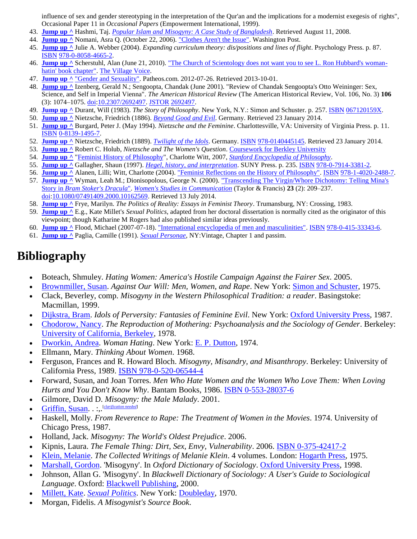influence of sex and gender stereotyping in the interpretation of the Qur'an and the implications for a modernist exegesis of rights", Occasional Paper 11 in *Occasional Papers* (Empowerment International, 1999).

- 43. **[Jump](http://en.wikipedia.org/wiki/Misogyny#cite_ref-43) up ^** Hashmi, Taj. *[Popular Islam and Misogyny: A Case Study of Bangladesh](http://www.mukto-mona.com/Articles/taj_hashmi/Popular_Islam_and_Misogyn1.pdf)*. Retrieved August 11, 2008.
- 44. **[Jump](http://en.wikipedia.org/wiki/Misogyny#cite_ref-issue_44-0) up ^** Nomani, Asra Q. (October 22, 2006). ["Clothes Aren't the Issue".](http://www.washingtonpost.com/wp-dyn/content/article/2006/10/20/AR2006102001261.html) Washington Post.
- 45. **[Jump](http://en.wikipedia.org/wiki/Misogyny#cite_ref-45) up ^** Julie A. Webber (2004). *Expanding curriculum theory: dis/positions and lines of flight*. Psychology Press. p. 87. [ISBN](http://en.wikipedia.org/wiki/International_Standard_Book_Number) [978-0-8058-4665-2.](http://en.wikipedia.org/wiki/Special:BookSources/978-0-8058-4665-2)
- 46. **[Jump](http://en.wikipedia.org/wiki/Misogyny#cite_ref-46) up ^** Scherstuhl, Alan (June 21, 2010)[. "The Church of Scientology does not want you to see L. Ron Hubbard's woman](http://blogs.villagevoice.com/runninscared/archives/2010/06/the_church_of_s.php)[hatin' book chapter".](http://blogs.villagevoice.com/runninscared/archives/2010/06/the_church_of_s.php) [The Village Voice.](http://en.wikipedia.org/wiki/The_Village_Voice)
- 47. **[Jump](http://en.wikipedia.org/wiki/Misogyny#cite_ref-47) up ^** ["Gender and Sexuality".](http://www.patheos.com/Library/Scientology/Ethics-Morality-Community/Gender-and-Sexuality.html) Patheos.com. 2012-07-26. Retrieved 2013-10-01.
- 48. **[Jump](http://en.wikipedia.org/wiki/Misogyny#cite_ref-48) up ^** Izenberg, Gerald N.; Sengoopta, Chandak (June 2001). "Review of Chandak Sengoopta's Otto Weininger: Sex, Science, and Self in Imperial Vienna". *The American Historical Review* (The American Historical Review, Vol. 106, No. 3) **106** (3): 1074–1075. [doi](http://en.wikipedia.org/wiki/Digital_object_identifier)[:10.2307/2692497.](http://dx.doi.org/10.2307%2F2692497) [JSTOR](http://en.wikipedia.org/wiki/JSTOR) [2692497.](http://www.jstor.org/stable/2692497)
- 49. **[Jump](http://en.wikipedia.org/wiki/Misogyny#cite_ref-49) up ^** Durant, Will (1983). *The Story of Philosophy*. New York, N.Y.: Simon and Schuster. p. 257. [ISBN](http://en.wikipedia.org/wiki/International_Standard_Book_Number) [067120159X.](http://en.wikipedia.org/wiki/Special:BookSources/067120159X)
- 50. **[Jump](http://en.wikipedia.org/wiki/Misogyny#cite_ref-50) up ^** Nietzsche, Friedrich (1886). *[Beyond Good and Evil](http://www.gutenberg.org/files/4363/4363-h/4363-h.htm)*. Germany. Retrieved 23 January 2014.
- 51. **[Jump](http://en.wikipedia.org/wiki/Misogyny#cite_ref-51) up ^** Burgard, Peter J. (May 1994). *Nietzsche and the Feminine*. Charlottesville, VA: University of Virginia Press. p. 11. [ISBN](http://en.wikipedia.org/wiki/International_Standard_Book_Number) [0-8139-1495-7.](http://en.wikipedia.org/wiki/Special:BookSources/0-8139-1495-7)
- 52. **[Jump](http://en.wikipedia.org/wiki/Misogyny#cite_ref-52) up ^** Nietzsche, Friedrich (1889). *[Twilight of the Idols](http://www.handprint.com/SC/NIE/GotDamer.html)*. Germany. [ISBN](http://en.wikipedia.org/wiki/International_Standard_Book_Number) [978-0140445145.](http://en.wikipedia.org/wiki/Special:BookSources/978-0140445145) Retrieved 23 January 2014.
- 53. **[Jump](http://en.wikipedia.org/wiki/Misogyny#cite_ref-Holub_53-0) up ^** Robert C. Holub, *Nietzsche and The Women's Question*. [Coursework for Berkley University](http://replay.waybackmachine.org/20060907092224/http:/www-learning.berkeley.edu/robertholub/teaching/syllabi/Lecture_Nietzsche_Women.pdf)
- 54. **[Jump](http://en.wikipedia.org/wiki/Misogyny#cite_ref-54) up ^** ["Feminist History of Philosophy"](http://plato.stanford.edu/entries/feminism-femhist/), Charlotte Witt, 2007, *[Stanford Encyclopedia of Philosophy](http://en.wikipedia.org/wiki/Stanford_Encyclopedia_of_Philosophy)*.
- 55. **[Jump](http://en.wikipedia.org/wiki/Misogyny#cite_ref-55) up ^** Gallagher, Shaun (1997). *[Hegel, history, and interpretation](http://books.google.com/books?id=OdlvNHnC6KMC&pg=PA235&dq=Hegel+misogyny+misogynistic#v=onepage&q&f=false)*. SUNY Press. p. 235. [ISBN](http://en.wikipedia.org/wiki/International_Standard_Book_Number) [978-0-7914-3381-2.](http://en.wikipedia.org/wiki/Special:BookSources/978-0-7914-3381-2)
- 56. [Jump](http://en.wikipedia.org/wiki/Misogyny#cite_ref-56) up ^ Alanen, Lilli; Witt, Charlotte (2004)[. "Feminist Reflections on the History of Philosophy".](http://books.google.com/?id=rJqm5iQcsqoC&pg=PA3&dq=Hegel+misogyny+misogynistic#v=onepage&q&f=false) [ISBN](http://en.wikipedia.org/wiki/International_Standard_Book_Number) [978-1-4020-2488-7.](http://en.wikipedia.org/wiki/Special:BookSources/978-1-4020-2488-7)
- 57. **[Jump](http://en.wikipedia.org/wiki/Misogyny#cite_ref-57) up ^** Wyman, Leah M.; Dionisopolous, George N. (2000). ["Transcending The Virgin/Whore Dichotomy: Telling Mina's](http://www.tandfonline.com/doi/abs/10.1080/07491409.2000.10162569#.U8QlTmdOXcs)  Story in *[Bram Stoker's Dracula](http://www.tandfonline.com/doi/abs/10.1080/07491409.2000.10162569#.U8QlTmdOXcs)*". *[Women's Studies in Communication](http://en.wikipedia.org/wiki/Women%27s_Studies_in_Communication)* (Taylor & Francis) **23** (2): 209–237. [doi:](http://en.wikipedia.org/wiki/Digital_object_identifier)[10.1080/07491409.2000.10162569.](http://dx.doi.org/10.1080%2F07491409.2000.10162569) Retrieved 13 July 2014.
- 58. **[Jump](http://en.wikipedia.org/wiki/Misogyny#cite_ref-58) up ^** Frye, Marilyn. *The Politics of Reality: Essays in Feminist Theory*. Trumansburg, NY: Crossing, 1983.
- 59. **[Jump](http://en.wikipedia.org/wiki/Misogyny#cite_ref-59) up ^** E.g., Kate Millet's *Sexual Politics*, adapted from her doctoral dissertation is normally cited as the originator of this viewpoint; though Katharine M Rogers had also published similar ideas previously.
- 60. **[Jump](http://en.wikipedia.org/wiki/Misogyny#cite_ref-60) up ^** Flood, Michael (2007-07-18). ["International encyclopedia of men and masculinities".](http://books.google.com/?id=EUON2SYps-QC&pg=PA442&dq=michael+flood+misandry#v=onepage&q=michael%20flood%20misandry&f=false) [ISBN](http://en.wikipedia.org/wiki/International_Standard_Book_Number) [978-0-415-33343-6.](http://en.wikipedia.org/wiki/Special:BookSources/978-0-415-33343-6)
- 61. **[Jump](http://en.wikipedia.org/wiki/Misogyny#cite_ref-61) up ^** Paglia, Camille (1991). *[Sexual Personae](http://en.wikipedia.org/wiki/Sexual_Personae)*, NY:Vintage, Chapter 1 and passim.

## **Bibliography**

- Boteach, Shmuley. *Hating Women: America's Hostile Campaign Against the Fairer Sex*. 2005.
- [Brownmiller, Susan.](http://en.wikipedia.org/wiki/Susan_Brownmiller) *Against Our Will: Men, Women, and Rape*. New York: [Simon and Schuster,](http://en.wikipedia.org/wiki/Simon_%26_Schuster) 1975.
- Clack, Beverley, comp. *Misogyny in the Western Philosophical Tradition: a reader*. Basingstoke: Macmillan, 1999.
- [Dijkstra, Bram.](http://en.wikipedia.org/wiki/Bram_Dijkstra) *Idols of Perversity: Fantasies of Feminine Evil*. New York: [Oxford University Press,](http://en.wikipedia.org/wiki/Oxford_University_Press) 1987.
- [Chodorow, Nancy.](http://en.wikipedia.org/wiki/Nancy_Chodorow) *The Reproduction of Mothering: Psychoanalysis and the Sociology of Gender*. Berkeley: [University of California, Berkeley,](http://en.wikipedia.org/wiki/University_of_California,_Berkeley) 1978.
- [Dworkin, Andrea.](http://en.wikipedia.org/wiki/Andrea_Dworkin) *Woman Hating*. New York: [E. P. Dutton,](http://en.wikipedia.org/wiki/E._P._Dutton) 1974.
- Ellmann, Mary. *Thinking About Women*. 1968.
- Ferguson, Frances and R. Howard Bloch. *Misogyny, Misandry, and Misanthropy*. Berkeley: University of California Press, 1989. [ISBN 978-0-520-06544-4](http://en.wikipedia.org/wiki/Special:BookSources/9780520065444)
- Forward, Susan, and Joan Torres. *Men Who Hate Women and the Women Who Love Them: When Loving Hurts and You Don't Know Why*. Bantam Books, 1986. [ISBN 0-553-28037-6](http://en.wikipedia.org/wiki/Special:BookSources/0553280376)
- Gilmore, David D. *Misogyny: the Male Malady*. 2001.
- [Griffin, Susan.](http://en.wikipedia.org/wiki/Susan_Griffin) . ...<sup>[*[clarification needed](http://en.wikipedia.org/wiki/Wikipedia:Please_clarify)*]</sup>
- Haskell, Molly. *From Reverence to Rape: The Treatment of Women in the Movies*. 1974. University of Chicago Press, 1987.
- Holland, Jack. *Misogyny: The World's Oldest Prejudice*. 2006.
- Kipnis, Laura. *The Female Thing: Dirt, Sex, Envy, Vulnerability*. 2006. [ISBN 0-375-42417-2](http://en.wikipedia.org/wiki/Special:BookSources/0375424172)
- [Klein, Melanie.](http://en.wikipedia.org/wiki/Melanie_Klein) *The Collected Writings of Melanie Klein*. 4 volumes. London: [Hogarth Press,](http://en.wikipedia.org/wiki/Hogarth_Press) 1975.
- [Marshall, Gordon.](http://en.wikipedia.org/wiki/Gordon_Marshall_(sociologist)) 'Misogyny'. In *Oxford Dictionary of Sociology*. [Oxford University Press,](http://en.wikipedia.org/wiki/Oxford_University_Press) 1998.
- Johnson, Allan G. 'Misogyny'. In *Blackwell Dictionary of Sociology: A User's Guide to Sociological Language*. Oxford: [Blackwell Publishing,](http://en.wikipedia.org/wiki/Blackwell_Publishing) 2000.
- [Millett, Kate.](http://en.wikipedia.org/wiki/Kate_Millett) *[Sexual Politics](http://en.wikipedia.org/wiki/Sexual_Politics)*. New York: [Doubleday,](http://en.wikipedia.org/wiki/Doubleday_(publisher)) 1970.
- Morgan, Fidelis. *A Misogynist's Source Book*.